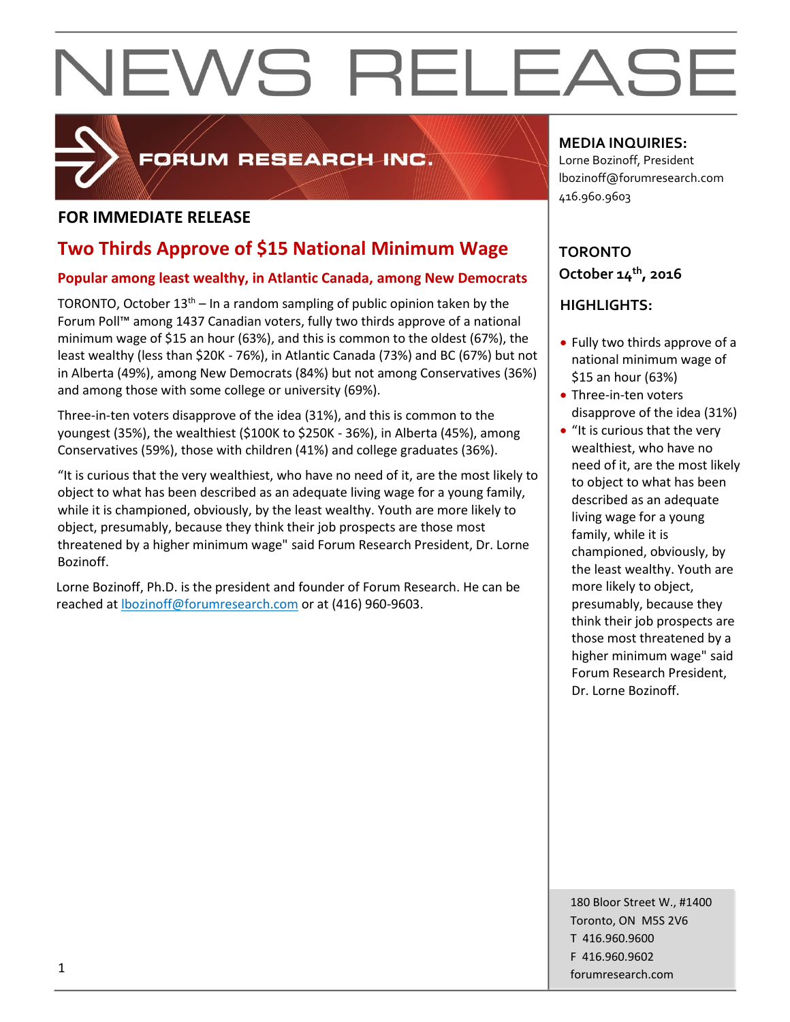

### FORUM RESEARCH INC.

#### **FOR IMMEDIATE RELEASE**

### **Two Thirds Approve of \$15 National Minimum Wage**

#### **Popular among least wealthy, in Atlantic Canada, among New Democrats**

TORONTO, October  $13<sup>th</sup> - In a random sampling of public opinion taken by the$ Forum Poll™ among 1437 Canadian voters, fully two thirds approve of a national minimum wage of \$15 an hour (63%), and this is common to the oldest (67%), the least wealthy (less than \$20K - 76%), in Atlantic Canada (73%) and BC (67%) but not in Alberta (49%), among New Democrats (84%) but not among Conservatives (36%) and among those with some college or university (69%).

Three-in-ten voters disapprove of the idea (31%), and this is common to the youngest (35%), the wealthiest (\$100K to \$250K - 36%), in Alberta (45%), among Conservatives (59%), those with children (41%) and college graduates (36%).

"It is curious that the very wealthiest, who have no need of it, are the most likely to object to what has been described as an adequate living wage for a young family, while it is championed, obviously, by the least wealthy. Youth are more likely to object, presumably, because they think their job prospects are those most threatened by a higher minimum wage" said Forum Research President, Dr. Lorne Bozinoff.

Lorne Bozinoff, Ph.D. is the president and founder of Forum Research. He can be reached at [lbozinoff@forumresearch.com](mailto:lbozinoff@forumresearch.com) or at (416) 960-9603.

**MEDIA INQUIRIES:**

Lorne Bozinoff, President lbozinoff@forumresearch.com 416.960.9603

### **TORONTO October 14th, 2016**

### **HIGHLIGHTS:**

- Fully two thirds approve of a national minimum wage of \$15 an hour (63%)
- Three-in-ten voters disapprove of the idea (31%)
- "It is curious that the very wealthiest, who have no need of it, are the most likely to object to what has been described as an adequate living wage for a young family, while it is championed, obviously, by the least wealthy. Youth are more likely to object, presumably, because they think their job prospects are those most threatened by a higher minimum wage" said Forum Research President, Dr. Lorne Bozinoff.

180 Bloor Street W., #1400 Toronto, ON M5S 2V6 T 416.960.9600 F 416.960.9602 for the contract of the contract of the contract of the contract of the contract of the contract of the contract of the contract of the contract of the contract of the contract of the contract of the contract of the contra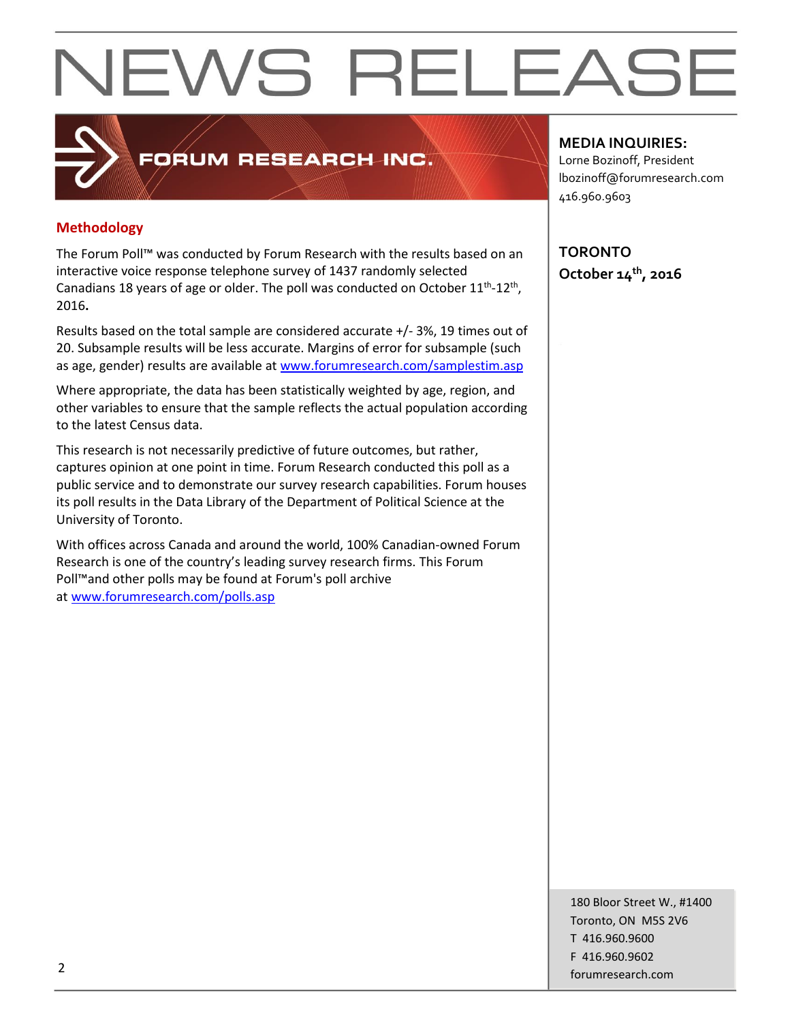#### **Methodology**

The Forum Poll™ was conducted by Forum Research with the results based on an interactive voice response telephone survey of 1437 randomly selected Canadians 18 years of age or older. The poll was conducted on October  $11<sup>th</sup>$ -12<sup>th</sup>, 2016**.**

FORUM RESEARCH INC.

Results based on the total sample are considered accurate +/- 3%, 19 times out of 20. Subsample results will be less accurate. Margins of error for subsample (such as age, gender) results are available at [www.forumresearch.com/samplestim.asp](http://www.forumresearch.com/samplestim.asp)

Where appropriate, the data has been statistically weighted by age, region, and other variables to ensure that the sample reflects the actual population according to the latest Census data.

This research is not necessarily predictive of future outcomes, but rather, captures opinion at one point in time. Forum Research conducted this poll as a public service and to demonstrate our survey research capabilities. Forum houses its poll results in the Data Library of the Department of Political Science at the University of Toronto.

With offices across Canada and around the world, 100% Canadian-owned Forum Research is one of the country's leading survey research firms. This Forum Poll™and other polls may be found at Forum's poll archive at [www.forumresearch.com/polls.asp](http://www.forumresearch.com/polls.asp)

**MEDIA INQUIRIES:**

Lorne Bozinoff, President lbozinoff@forumresearch.com 416.960.9603

**TORONTO October 14th, 2016**

180 Bloor Street W., #1400 Toronto, ON M5S 2V6 T 416.960.9600 F 416.960.9602 example to the contract of the contract of the contract of the contract of the contract of the contract of the contract of the contract of the contract of the contract of the contract of the contract of the contract of the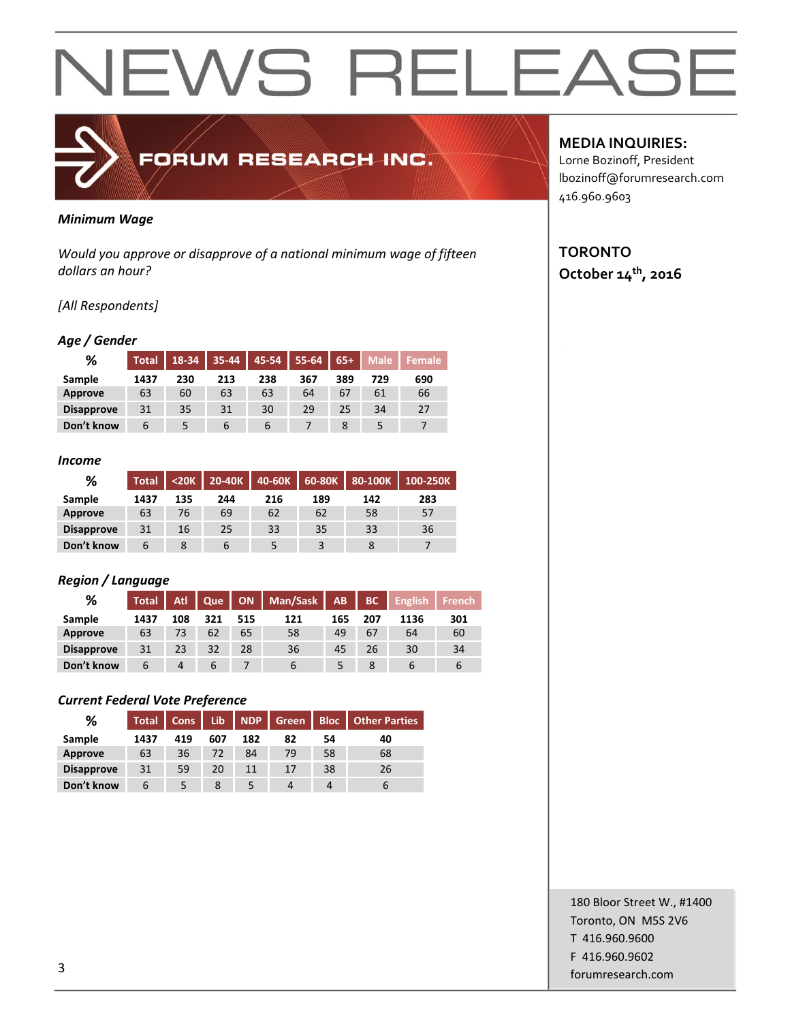#### *Minimum Wage*

*Would you approve or disapprove of a national minimum wage of fifteen dollars an hour?*

FORUM RESEARCH INC.

#### *[All Respondents]*

#### *Age / Gender*

| %                 | <b>Total</b> | 18-34 | $35 - 44$ | 45-54 | 55-64 | $65+$ | <b>Male</b> | Female |
|-------------------|--------------|-------|-----------|-------|-------|-------|-------------|--------|
| Sample            | 1437         | 230   | 213       | 238   | 367   | 389   | 729         | 690    |
| <b>Approve</b>    | 63           | 60    | 63        | 63    | 64    | 67    | 61          | 66     |
| <b>Disapprove</b> | 31           | 35    | 31        | 30    | 29    | 25    | 34          | 27     |
| Don't know        | 6            |       | 6         | ь     |       | 8     |             |        |

#### *Income*

| %                 | <b>Total</b> | $20K$ | 20-40K | 40-60K |     | 60-80K 80-100K | 100-250K |
|-------------------|--------------|-------|--------|--------|-----|----------------|----------|
| Sample            | 1437         | 135   | 244    | 216    | 189 | 142            | 283      |
| Approve           | 63           | 76    | 69     | 62     | 62  | 58             | 57       |
| <b>Disapprove</b> | 31           | 16    | 25     | 33     | 35  | 33             | 36       |
| Don't know        |              |       |        |        |     |                |          |

#### *Region / Language*

| %                 | <b>Total</b> | Atl | Que |     | ON   Man/Sask | AB. | BC  | <b>English</b> | <b>French</b> |
|-------------------|--------------|-----|-----|-----|---------------|-----|-----|----------------|---------------|
| Sample            | 1437         | 108 | 321 | 515 | 121           | 165 | 207 | 1136           | 301           |
| Approve           | 63           | 73  | 62  | 65  | 58            | 49  | 67  | 64             | 60            |
| <b>Disapprove</b> | 31           | 23  | 32  | 28  | 36            | 45  | 26  | 30             | 34            |
| Don't know        | b            | 4   |     |     | b             |     |     |                |               |

#### *Current Federal Vote Preference*

| %                 | <b>Total</b> | <b>Cons</b> | Lib | NDP | Green | <b>Bloc</b> | <b>Other Parties</b> |
|-------------------|--------------|-------------|-----|-----|-------|-------------|----------------------|
| Sample            | 1437         | 419         | 607 | 182 | 82    | 54          | 40                   |
| <b>Approve</b>    | 63           | 36          | 72  | 84  | 79    | 58          | 68                   |
| <b>Disapprove</b> | 31           | 59          | 20  |     | 17    | 38          | 26                   |
| Don't know        | 6            |             | 8   |     | Д     |             | ь                    |

#### **MEDIA INQUIRIES:**

Lorne Bozinoff, President lbozinoff@forumresearch.com 416.960.9603

#### **TORONTO October 14th, 2016**

180 Bloor Street W., #1400 Toronto, ON M5S 2V6 T 416.960.9600 F 416.960.9602 for the contract of the contract of the contract of the contract of the contract of the contract of the contract of the contract of the contract of the contract of the contract of the contract of the contract of the contra